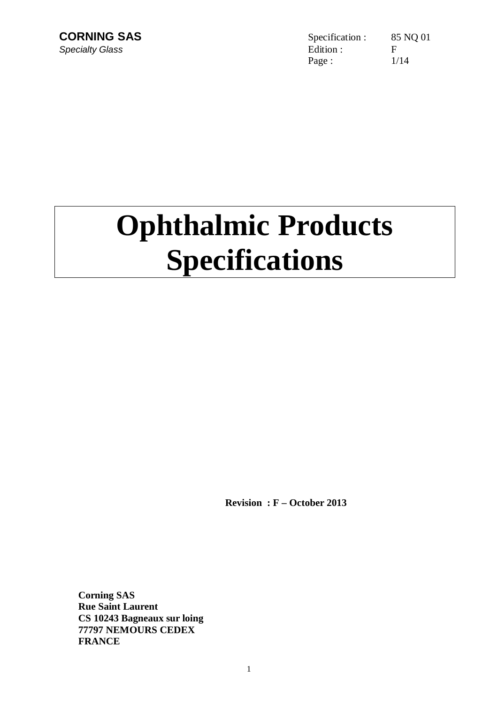**CORNING SAS** Specification : 85 NQ 01 **Specialty Glass** Figure **Edition** : Figure **Edition** : Figure **Edition** : Page : 1/14

# **Ophthalmic Products Specifications**

**Revision : F – October 2013** 

**Corning SAS Rue Saint Laurent CS 10243 Bagneaux sur loing 77797 NEMOURS CEDEX FRANCE**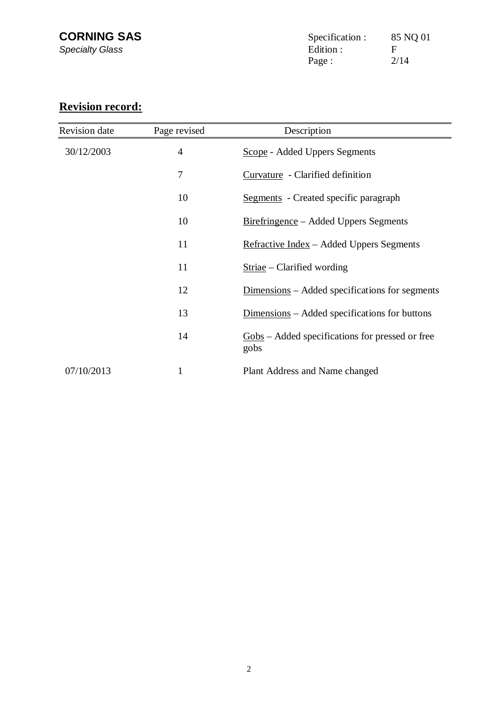# **Revision record:**

| Revision date | Page revised   | Description                                                                       |
|---------------|----------------|-----------------------------------------------------------------------------------|
| 30/12/2003    | $\overline{4}$ | <b>Scope</b> - Added Uppers Segments                                              |
|               | 7              | Curvature - Clarified definition                                                  |
|               | 10             | <b>Segments</b> - Created specific paragraph                                      |
|               | 10             | <u>Birefringence</u> – Added Uppers Segments                                      |
|               | 11             | Refractive Index - Added Uppers Segments                                          |
|               | 11             | $Striae - Clarified wording$                                                      |
|               | 12             | Dimensions – Added specifications for segments                                    |
|               | 13             | Dimensions – Added specifications for buttons                                     |
|               | 14             | $\frac{\text{Gobs}}{\text{A}}$ – Added specifications for pressed or free<br>gobs |
| 07/10/2013    |                | Plant Address and Name changed                                                    |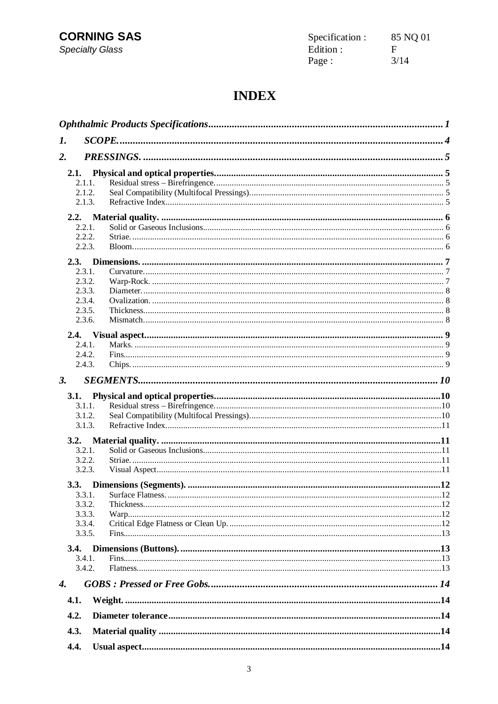**CORNING SAS Specialty Glass** 

| Specification : | 85 NQ 01 |
|-----------------|----------|
| Edition :       | F        |
| Page :          | 3/14     |

# **INDEX**

| 1.                 |                  |  |
|--------------------|------------------|--|
| 2.                 |                  |  |
| 2.1.               |                  |  |
|                    | 2.1.1.           |  |
|                    | 2.1.2.           |  |
|                    | 2.1.3.           |  |
| 2.2.               |                  |  |
|                    | 2.2.1.           |  |
|                    | 2.2.2.           |  |
|                    | 2.2.3.           |  |
| 2.3.               |                  |  |
|                    | 2.3.1.           |  |
|                    | 2.3.2.           |  |
|                    | 2.3.3.           |  |
|                    | 2.3.4.<br>2.3.5. |  |
|                    | 2.3.6.           |  |
|                    |                  |  |
| 2.4.               |                  |  |
|                    | 2.4.1.           |  |
|                    | 2.4.2.           |  |
|                    | 2.4.3.           |  |
| 3.                 |                  |  |
| 3.1.               |                  |  |
|                    | 3.1.1.           |  |
|                    | 3.1.2.           |  |
|                    | 3.1.3.           |  |
| 3.2.               |                  |  |
|                    | 3.2.1.           |  |
|                    | 3.2.2.           |  |
|                    | 3.2.3.           |  |
|                    |                  |  |
|                    | 3.3.1.           |  |
|                    | 3.3.2.           |  |
|                    | 3.3.3.           |  |
|                    | 3.3.4.           |  |
|                    | 3.3.5.           |  |
| <b>3.4.</b>        |                  |  |
|                    | 3.4.1.           |  |
|                    | 3.4.2.           |  |
| $\boldsymbol{4}$ . |                  |  |
| 4.1.               |                  |  |
| 4.2.               |                  |  |
| 4.3.               |                  |  |
|                    |                  |  |
| 4.4.               |                  |  |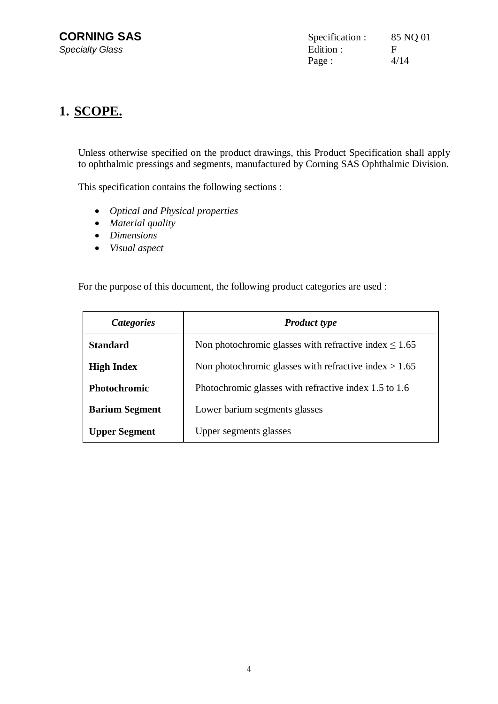# **1. SCOPE.**

Unless otherwise specified on the product drawings, this Product Specification shall apply to ophthalmic pressings and segments, manufactured by Corning SAS Ophthalmic Division.

This specification contains the following sections :

- x *Optical and Physical properties*
- *Material quality*
- x *Dimensions*
- *Visual aspect*

For the purpose of this document, the following product categories are used :

| Categories            | <b>Product type</b>                                        |
|-----------------------|------------------------------------------------------------|
| <b>Standard</b>       | Non photochromic glasses with refractive index $\leq 1.65$ |
| <b>High Index</b>     | Non photochromic glasses with refractive index $> 1.65$    |
| <b>Photochromic</b>   | Photochromic glasses with refractive index 1.5 to 1.6      |
| <b>Barium Segment</b> | Lower barium segments glasses                              |
| <b>Upper Segment</b>  | Upper segments glasses                                     |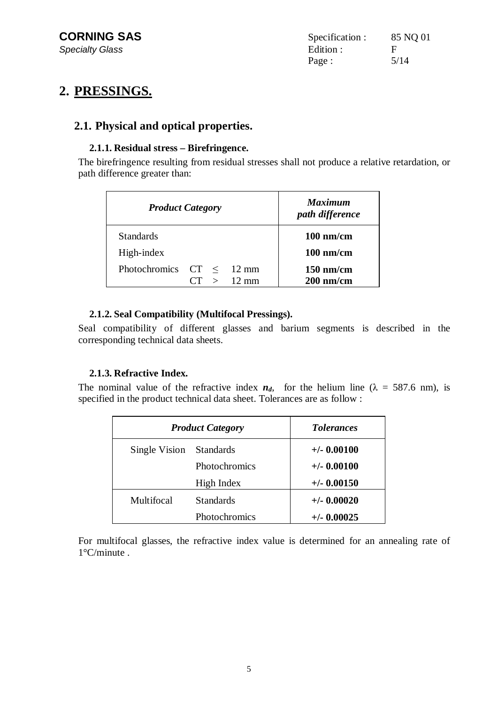# **2. PRESSINGS.**

## **2.1. Physical and optical properties.**

#### **2.1.1. Residual stress – Birefringence.**

The birefringence resulting from residual stresses shall not produce a relative retardation, or path difference greater than:

|                      | <b>Product Category</b> |                 | <b>Maximum</b><br>path difference |
|----------------------|-------------------------|-----------------|-----------------------------------|
| <b>Standards</b>     |                         |                 | $100$ nm/cm                       |
| High-index           |                         |                 | $100$ nm/cm                       |
| Photochromics $CT <$ |                         | $12 \text{ mm}$ | $150$ nm/cm                       |
|                      | $\rightarrow$           | $12 \text{ mm}$ | $200$ nm/cm                       |

#### **2.1.2. Seal Compatibility (Multifocal Pressings).**

Seal compatibility of different glasses and barium segments is described in the corresponding technical data sheets.

#### **2.1.3. Refractive Index.**

The nominal value of the refractive index  $n_d$ , for the helium line ( $\lambda = 587.6$  nm), is specified in the product technical data sheet. Tolerances are as follow :

| <b>Product Category</b> |                  | <b>Tolerances</b> |
|-------------------------|------------------|-------------------|
| Single Vision Standards |                  | $+/-$ 0.00100     |
|                         | Photochromics    | $+/- 0.00100$     |
|                         | High Index       | $+/-$ 0.00150     |
| Multifocal              | <b>Standards</b> | $+/-$ 0.00020     |
|                         | Photochromics    | $+/-$ 0.00025     |

For multifocal glasses, the refractive index value is determined for an annealing rate of 1°C/minute .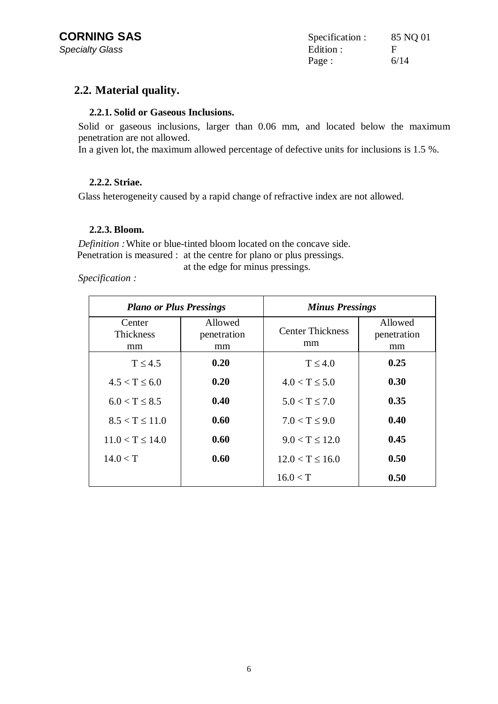#### **2.2. Material quality.**

#### **2.2.1. Solid or Gaseous Inclusions.**

Solid or gaseous inclusions, larger than 0.06 mm, and located below the maximum penetration are not allowed.

In a given lot, the maximum allowed percentage of defective units for inclusions is 1.5 %.

#### **2.2.2. Striae.**

Glass heterogeneity caused by a rapid change of refractive index are not allowed.

#### **2.2.3. Bloom.**

*Definition :* White or blue-tinted bloom located on the concave side. Penetration is measured : at the centre for plano or plus pressings.

*Specification :* 

at the edge for minus pressings.

| <b>Plano or Plus Pressings</b>   |                              | <b>Minus Pressings</b>        |                              |
|----------------------------------|------------------------------|-------------------------------|------------------------------|
| Center<br><b>Thickness</b><br>mm | Allowed<br>penetration<br>mm | <b>Center Thickness</b><br>mm | Allowed<br>penetration<br>mm |
| $T \leq 4.5$                     | 0.20                         | $T \leq 4.0$                  | 0.25                         |
| $4.5 < T \leq 6.0$               | 0.20                         | $4.0 < T \leq 5.0$            | 0.30                         |
| $6.0 < T \leq 8.5$               | 0.40                         | $5.0 < T \le 7.0$             | 0.35                         |
| $8.5 < T \le 11.0$               | 0.60                         | $7.0 < T \leq 9.0$            | 0.40                         |
| $11.0 < T \le 14.0$              | 0.60                         | $9.0 < T \le 12.0$            | 0.45                         |
| 14.0 < T                         | 0.60                         | $12.0 < T \le 16.0$           | 0.50                         |
|                                  |                              | 16.0 < T                      | 0.50                         |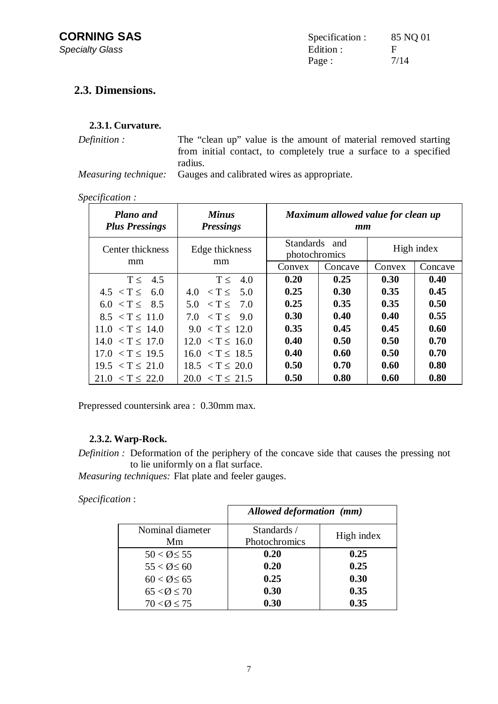### **2.3. Dimensions.**

#### **2.3.1. Curvature.**

*Definition :* The "clean up" value is the amount of material removed starting from initial contact, to completely true a surface to a specified radius.

*Measuring technique:* Gauges and calibrated wires as appropriate.

#### *Specification :*

| <b>Plano</b> and<br><b>Plus Pressings</b> | <b>Minus</b><br><b>Pressings</b>    | Maximum allowed value for clean up<br>$\boldsymbol{mm}$ |         |        |            |
|-------------------------------------------|-------------------------------------|---------------------------------------------------------|---------|--------|------------|
| Center thickness                          | Edge thickness                      | <b>Standards</b><br>photochromics                       | and     |        | High index |
| mm                                        | mm                                  | Convex                                                  | Concave | Convex | Concave    |
| $T \leq$<br>4.5                           | T <<br>4.0                          | 0.20                                                    | 0.25    | 0.30   | 0.40       |
| $4.5 < T \leq$<br>6.0                     | $\tau <$<br>-5.0<br>4.0             | 0.25                                                    | 0.30    | 0.35   | 0.45       |
| 6.0 < T < 8.5                             | $\langle T \leq 7.0 \rangle$<br>5.0 | 0.25                                                    | 0.35    | 0.35   | 0.50       |
| $8.5 < T \leq 11.0$                       | $\langle T \langle 9.0$<br>7.0      | 0.30                                                    | 0.40    | 0.40   | 0.55       |
| $11.0 < T \leq 14.0$                      | $9.0 < T \leq 12.0$                 | 0.35                                                    | 0.45    | 0.45   | 0.60       |
| $14.0 < T \leq 17.0$                      | $12.0 < T \leq 16.0$                | 0.40                                                    | 0.50    | 0.50   | 0.70       |
| $17.0 < T \leq 19.5$                      | $16.0 < T \leq 18.5$                | 0.40                                                    | 0.60    | 0.50   | 0.70       |
| $19.5 < T \leq 21.0$                      | $18.5 < T \leq 20.0$                | 0.50                                                    | 0.70    | 0.60   | 0.80       |
| $21.0 < T \leq 22.0$                      | $20.0 < T \leq 21.5$                | 0.50                                                    | 0.80    | 0.60   | 0.80       |

Prepressed countersink area : 0.30mm max.

#### **2.3.2. Warp-Rock.**

*Definition :* Deformation of the periphery of the concave side that causes the pressing not to lie uniformly on a flat surface.

*Measuring techniques:* Flat plate and feeler gauges.

*Specification* :

|                          | Allowed deformation (mm) |            |
|--------------------------|--------------------------|------------|
| Nominal diameter         | Standards /              | High index |
| Mm                       | Photochromics            |            |
| $50 < \emptyset \leq 55$ | 0.20                     | 0.25       |
| $55 < \emptyset \leq 60$ | 0.20                     | 0.25       |
| $60 < \emptyset \leq 65$ | 0.25                     | 0.30       |
| $65 < \emptyset \leq 70$ | 0.30                     | 0.35       |
| $70 < \emptyset \le 75$  | 0.30                     | 0.35       |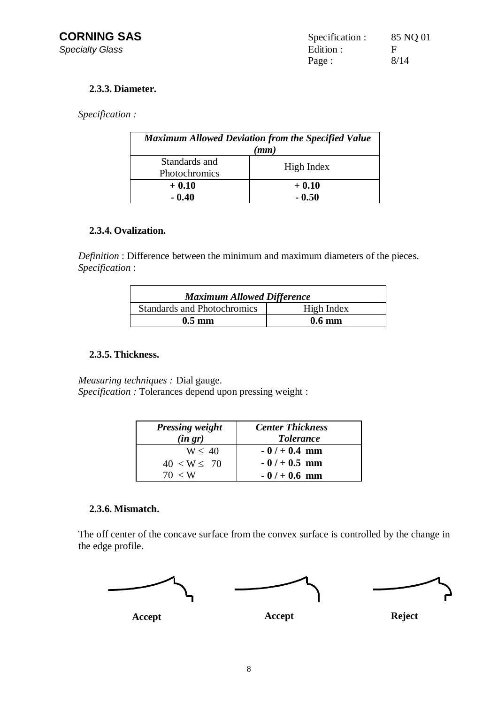#### **2.3.3. Diameter.**

*Specification :* 

| <b>Maximum Allowed Deviation from the Specified Value</b> |            |  |
|-----------------------------------------------------------|------------|--|
| (mm)                                                      |            |  |
| Standards and                                             | High Index |  |
| Photochromics                                             |            |  |
| $+0.10$                                                   | $+0.10$    |  |
| $-0.40$                                                   | $-0.50$    |  |

#### **2.3.4. Ovalization.**

*Definition* : Difference between the minimum and maximum diameters of the pieces. *Specification* :

| <b>Maximum Allowed Difference</b>  |                  |  |
|------------------------------------|------------------|--|
| <b>Standards and Photochromics</b> | High Index       |  |
| $0.5 \text{ mm}$                   | $0.6 \text{ mm}$ |  |

#### **2.3.5. Thickness.**

*Measuring techniques :* Dial gauge. *Specification :* Tolerances depend upon pressing weight :

| <b>Pressing weight</b><br>(in gr) | <b>Center Thickness</b><br><b>Tolerance</b> |
|-----------------------------------|---------------------------------------------|
| W < 40                            | $-0/ + 0.4$ mm                              |
| $40 < W \leq 70$                  | $-0/ + 0.5$ mm                              |
| 70 < W                            | $-0/ + 0.6$ mm                              |

#### **2.3.6. Mismatch.**

The off center of the concave surface from the convex surface is controlled by the change in the edge profile.

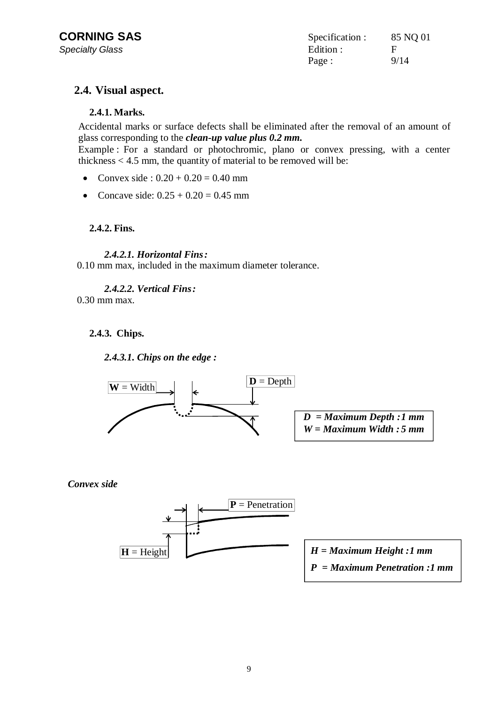| Specification : | 85 NQ 01 |
|-----------------|----------|
| Edition :       | E        |
| Page :          | 9/14     |

#### **2.4. Visual aspect.**

#### **2.4.1. Marks.**

Accidental marks or surface defects shall be eliminated after the removal of an amount of glass corresponding to the *clean-up value plus 0.2 mm.*

Example : For a standard or photochromic, plano or convex pressing, with a center thickness  $< 4.5$  mm, the quantity of material to be removed will be:

- Convex side :  $0.20 + 0.20 = 0.40$  mm
- Concave side:  $0.25 + 0.20 = 0.45$  mm

#### **2.4.2. Fins.**

#### *2.4.2.1. Horizontal Fins :*

0.10 mm max, included in the maximum diameter tolerance.

*2.4.2.2. Vertical Fins :* 

0.30 mm max.

#### **2.4.3. Chips.**

*2.4.3.1. Chips on the edge :* 



*Convex side*

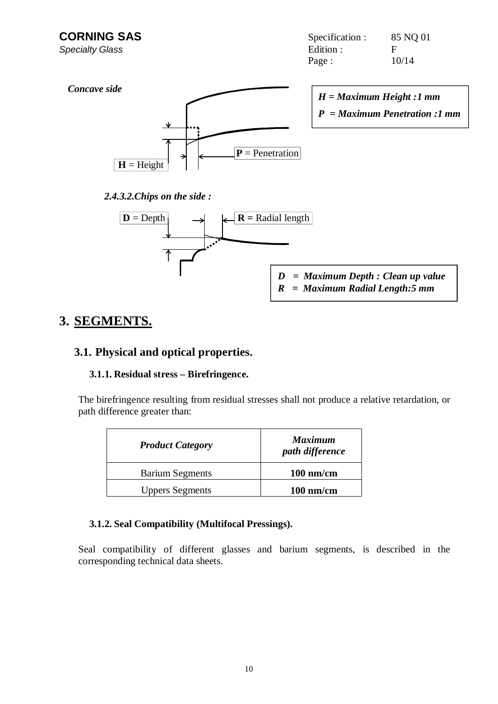**CORNING SAS** Specification : 85 NQ 01 **Specialty Glass** Figure **Edition** : Figure **Edition** : Figure **Edition** : Page : 10/14



*H = Maximum Height : 1 mm P = Maximum Penetration :1 mm*

#### *2.4.3.2.Chips on the side :*



- *D = Maximum Depth : Clean up value*
- *R = Maximum Radial Length: 5 mm*

# **3. SEGMENTS.**

#### **3.1. Physical and optical properties.**

#### **3.1.1. Residual stress – Birefringence.**

The birefringence resulting from residual stresses shall not produce a relative retardation, or path difference greater than:

| <b>Product Category</b> | <b>Maximum</b><br>path difference |
|-------------------------|-----------------------------------|
| <b>Barium Segments</b>  | $100 \text{ nm/cm}$               |
| <b>Uppers Segments</b>  | $100$ nm/cm                       |

#### **3.1.2. Seal Compatibility (Multifocal Pressings).**

Seal compatibility of different glasses and barium segments, is described in the corresponding technical data sheets.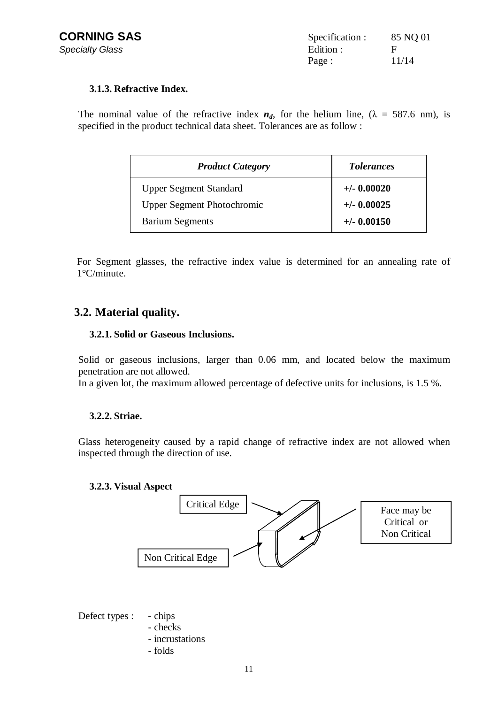| Specification : | 85 NQ 01 |
|-----------------|----------|
| Edition :       | F        |
| Page :          | 11/14    |

#### **3.1.3. Refractive Index.**

The nominal value of the refractive index  $n_d$ , for the helium line, ( $\lambda = 587.6$  nm), is specified in the product technical data sheet. Tolerances are as follow :

| <b>Product Category</b>           | <i>Tolerances</i> |
|-----------------------------------|-------------------|
| <b>Upper Segment Standard</b>     | $+/- 0.00020$     |
| <b>Upper Segment Photochromic</b> | $+/-$ 0.00025     |
| <b>Barium Segments</b>            | $+/-$ 0.00150     |

For Segment glasses, the refractive index value is determined for an annealing rate of 1°C/minute.

# **3.2. Material quality.**

#### **3.2.1. Solid or Gaseous Inclusions.**

Solid or gaseous inclusions, larger than 0.06 mm, and located below the maximum penetration are not allowed.

In a given lot, the maximum allowed percentage of defective units for inclusions, is 1.5 %.

#### **3.2.2. Striae.**

Glass heterogeneity caused by a rapid change of refractive index are not allowed when inspected through the direction of use.

#### **3.2.3. Visual Aspect**



Defect types : - chips

- checks
- incrustations
- folds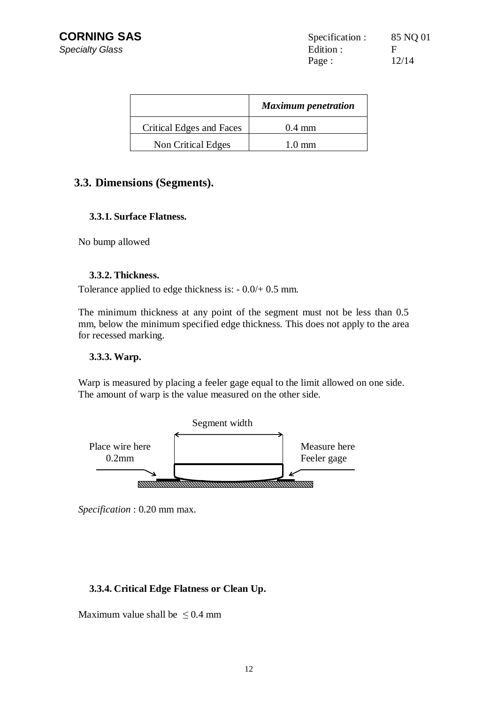|                          | <b>Maximum</b> penetration |
|--------------------------|----------------------------|
| Critical Edges and Faces | $0.4 \text{ mm}$           |
| Non Critical Edges       | $1.0 \text{ mm}$           |

#### **3.3. Dimensions (Segments).**

#### **3.3.1. Surface Flatness.**

No bump allowed

#### **3.3.2. Thickness.**

Tolerance applied to edge thickness is: - 0.0/+ 0.5 mm.

The minimum thickness at any point of the segment must not be less than 0.5 mm, below the minimum specified edge thickness. This does not apply to the area for recessed marking.

#### **3.3.3. Warp.**

Warp is measured by placing a feeler gage equal to the limit allowed on one side. The amount of warp is the value measured on the other side.



*Specification* : 0.20 mm max.

#### **3.3.4. Critical Edge Flatness or Clean Up.**

Maximum value shall be  $\leq 0.4$  mm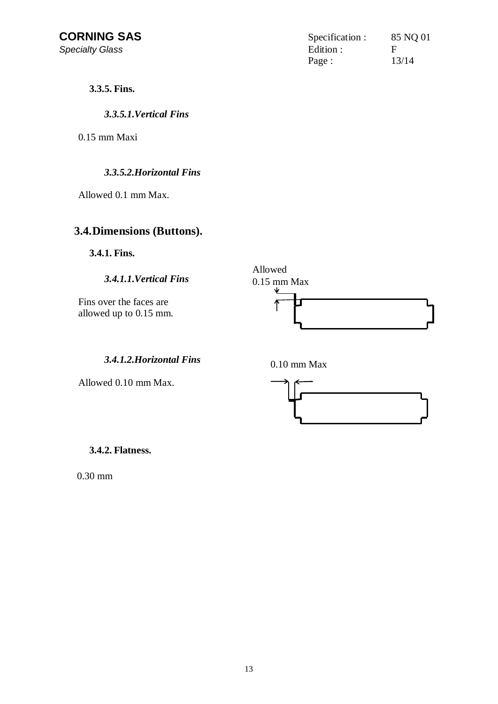| Specification : | 85 NQ 01 |
|-----------------|----------|
| Edition :       | Е        |
| Page :          | 13/14    |

**3.3.5. Fins.** 

*3.3.5.1.Vertical Fins* 

0.15 mm Maxi

#### *3.3.5.2.Horizontal Fins*

Allowed 0.1 mm Max.

### **3.4.Dimensions (Buttons).**

**3.4.1. Fins.** 

*3.4.1.1.Vertical Fins* 

Fins over the faces are allowed up to 0.15 mm.



*3.4.1.2.Horizontal Fins* 

Allowed 0.10 mm Max.



**3.4.2. Flatness.** 

0.30 mm